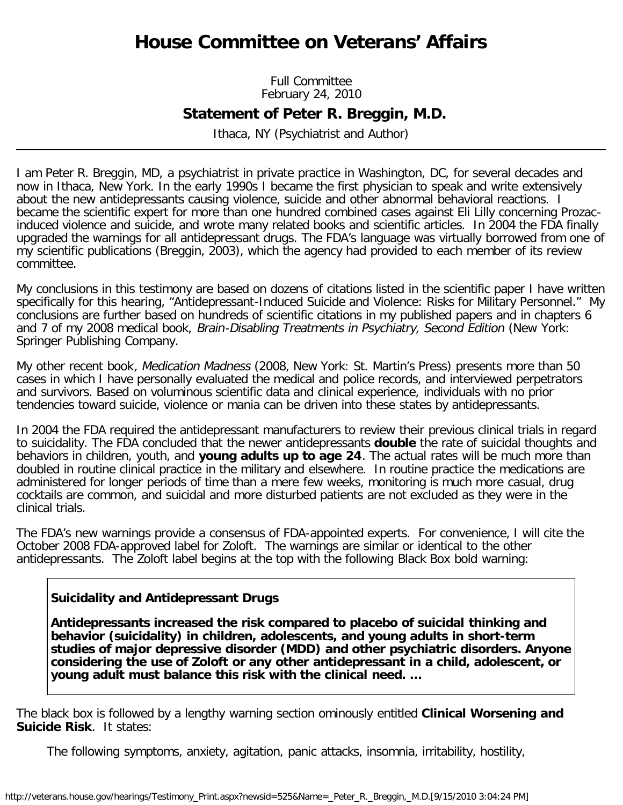# **House Committee on Veterans' Affairs**

Full Committee February 24, 2010

# **Statement of Peter R. Breggin, M.D.**

Ithaca, NY (Psychiatrist and Author)

I am Peter R. Breggin, MD, a psychiatrist in private practice in Washington, DC, for several decades and now in Ithaca, New York. In the early 1990s I became the first physician to speak and write extensively about the new antidepressants causing violence, suicide and other abnormal behavioral reactions. I became the scientific expert for more than one hundred combined cases against Eli Lilly concerning Prozacinduced violence and suicide, and wrote many related books and scientific articles. In 2004 the FDA finally upgraded the warnings for all antidepressant drugs. The FDA's language was virtually borrowed from one of my scientific publications (Breggin, 2003), which the agency had provided to each member of its review committee.

My conclusions in this testimony are based on dozens of citations listed in the scientific paper I have written specifically for this hearing, "Antidepressant-Induced Suicide and Violence: Risks for Military Personnel." My conclusions are further based on hundreds of scientific citations in my published papers and in chapters 6 and 7 of my 2008 medical book, Brain-Disabling Treatments in Psychiatry, Second Edition (New York: Springer Publishing Company.

My other recent book, *Medication Madness* (2008, New York: St. Martin's Press) presents more than 50 cases in which I have personally evaluated the medical and police records, and interviewed perpetrators and survivors. Based on voluminous scientific data and clinical experience, individuals with no prior tendencies toward suicide, violence or mania can be driven into these states by antidepressants.

In 2004 the FDA required the antidepressant manufacturers to review their previous clinical trials in regard to suicidality. The FDA concluded that the newer antidepressants **double** the rate of suicidal thoughts and behaviors in children, youth, and **young adults up to age 24**. The actual rates will be much more than doubled in routine clinical practice in the military and elsewhere. In routine practice the medications are administered for longer periods of time than a mere few weeks, monitoring is much more casual, drug cocktails are common, and suicidal and more disturbed patients are not excluded as they were in the clinical trials.

The FDA's new warnings provide a consensus of FDA-appointed experts. For convenience, I will cite the October 2008 FDA-approved label for Zoloft. The warnings are similar or identical to the other antidepressants. The Zoloft label begins at the top with the following Black Box bold warning:

# **Suicidality and Antidepressant Drugs**

**Antidepressants increased the risk compared to placebo of suicidal thinking and behavior (suicidality) in children, adolescents, and young adults in short-term studies of major depressive disorder (MDD) and other psychiatric disorders. Anyone considering the use of Zoloft or any other antidepressant in a child, adolescent, or young adult must balance this risk with the clinical need. …**

The black box is followed by a lengthy warning section ominously entitled **Clinical Worsening and Suicide Risk**. It states:

The following symptoms, anxiety, agitation, panic attacks, insomnia, irritability, hostility,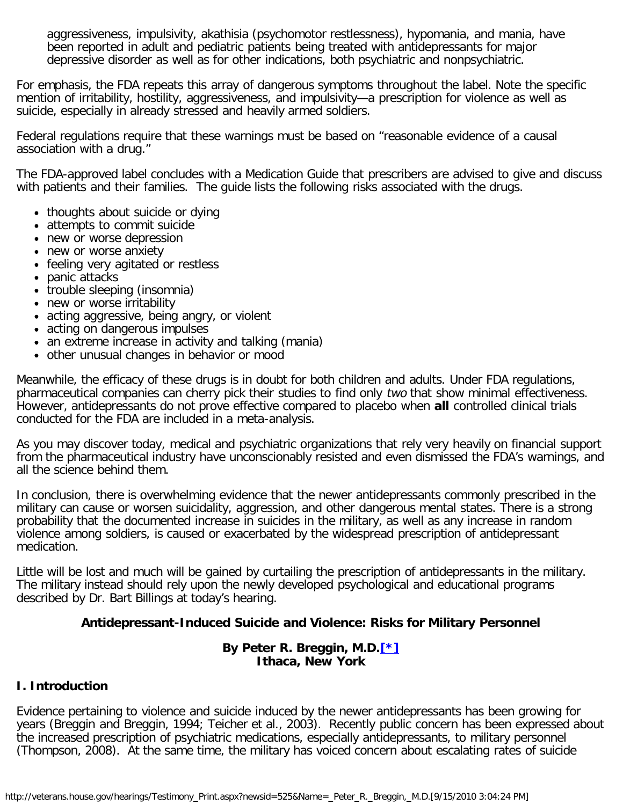aggressiveness, impulsivity, akathisia (psychomotor restlessness), hypomania, and mania, have been reported in adult and pediatric patients being treated with antidepressants for major depressive disorder as well as for other indications, both psychiatric and nonpsychiatric.

For emphasis, the FDA repeats this array of dangerous symptoms throughout the label. Note the specific mention of irritability, hostility, aggressiveness, and impulsivity—a prescription for violence as well as suicide, especially in already stressed and heavily armed soldiers.

Federal regulations require that these warnings must be based on "reasonable evidence of a causal association with a drug."

The FDA-approved label concludes with a Medication Guide that prescribers are advised to give and discuss with patients and their families. The guide lists the following risks associated with the drugs.

- thoughts about suicide or dying
- attempts to commit suicide
- new or worse depression
- new or worse anxiety
- feeling very agitated or restless
- panic attacks
- trouble sleeping (insomnia)
- new or worse irritability
- acting aggressive, being angry, or violent
- acting on dangerous impulses
- an extreme increase in activity and talking (mania)
- other unusual changes in behavior or mood

Meanwhile, the efficacy of these drugs is in doubt for both children and adults. Under FDA regulations, pharmaceutical companies can cherry pick their studies to find only two that show minimal effectiveness. However, antidepressants do not prove effective compared to placebo when **all** controlled clinical trials conducted for the FDA are included in a meta-analysis.

As you may discover today, medical and psychiatric organizations that rely very heavily on financial support from the pharmaceutical industry have unconscionably resisted and even dismissed the FDA's warnings, and all the science behind them.

In conclusion, there is overwhelming evidence that the newer antidepressants commonly prescribed in the military can cause or worsen suicidality, aggression, and other dangerous mental states. There is a strong probability that the documented increase in suicides in the military, as well as any increase in random violence among soldiers, is caused or exacerbated by the widespread prescription of antidepressant medication.

Little will be lost and much will be gained by curtailing the prescription of antidepressants in the military. The military instead should rely upon the newly developed psychological and educational programs described by Dr. Bart Billings at today's hearing.

#### **Antidepressant-Induced Suicide and Violence: Risks for Military Personnel**

#### **By Peter R. Breggin, M.D.[\[\\*\]](#page-16-0) Ithaca, New York**

#### <span id="page-1-0"></span>**I. Introduction**

Evidence pertaining to violence and suicide induced by the newer antidepressants has been growing for years (Breggin and Breggin, 1994; Teicher et al., 2003). Recently public concern has been expressed about the increased prescription of psychiatric medications, especially antidepressants, to military personnel (Thompson, 2008). At the same time, the military has voiced concern about escalating rates of suicide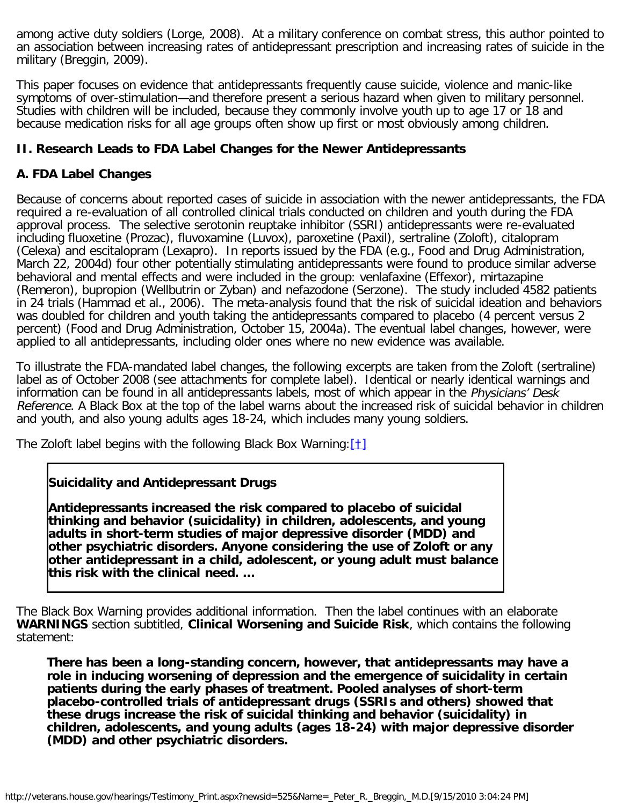among active duty soldiers (Lorge, 2008). At a military conference on combat stress, this author pointed to an association between increasing rates of antidepressant prescription and increasing rates of suicide in the military (Breggin, 2009).

This paper focuses on evidence that antidepressants frequently cause suicide, violence and manic-like symptoms of over-stimulation—and therefore present a serious hazard when given to military personnel. Studies with children will be included, because they commonly involve youth up to age 17 or 18 and because medication risks for all age groups often show up first or most obviously among children.

# **II. Research Leads to FDA Label Changes for the Newer Antidepressants**

# **A. FDA Label Changes**

Because of concerns about reported cases of suicide in association with the newer antidepressants, the FDA required a re-evaluation of all controlled clinical trials conducted on children and youth during the FDA approval process. The selective serotonin reuptake inhibitor (SSRI) antidepressants were re-evaluated including fluoxetine (Prozac), fluvoxamine (Luvox), paroxetine (Paxil), sertraline (Zoloft), citalopram (Celexa) and escitalopram (Lexapro). In reports issued by the FDA (e.g., Food and Drug Administration, March 22, 2004d) four other potentially stimulating antidepressants were found to produce similar adverse behavioral and mental effects and were included in the group: venlafaxine (Effexor), mirtazapine (Remeron), bupropion (Wellbutrin or Zyban) and nefazodone (Serzone). The study included 4582 patients in 24 trials (Hammad et al., 2006). The meta-analysis found that the risk of suicidal ideation and behaviors was doubled for children and youth taking the antidepressants compared to placebo (4 percent versus 2 percent) (Food and Drug Administration, October 15, 2004a). The eventual label changes, however, were applied to all antidepressants, including older ones where no new evidence was available.

To illustrate the FDA-mandated label changes, the following excerpts are taken from the Zoloft (sertraline) label as of October 2008 (see attachments for complete label). Identical or nearly identical warnings and information can be found in all antidepressants labels, most of which appear in the Physicians' Desk Reference. A Black Box at the top of the label warns about the increased risk of suicidal behavior in children and youth, and also young adults ages 18-24, which includes many young soldiers.

<span id="page-2-0"></span>The Zoloft label begins with the following Black Box Warning:  $[1]$ 

#### **Suicidality and Antidepressant Drugs**

**Antidepressants increased the risk compared to placebo of suicidal thinking and behavior (suicidality) in children, adolescents, and young adults in short-term studies of major depressive disorder (MDD) and other psychiatric disorders. Anyone considering the use of Zoloft or any other antidepressant in a child, adolescent, or young adult must balance this risk with the clinical need. …**

The Black Box Warning provides additional information. Then the label continues with an elaborate **WARNINGS** section subtitled, **Clinical Worsening and Suicide Risk**, which contains the following statement:

**There has been a long-standing concern, however, that antidepressants may have a role in inducing worsening of depression and the emergence of suicidality in certain patients during the early phases of treatment. Pooled analyses of short-term placebo-controlled trials of antidepressant drugs (SSRIs and others) showed that these drugs increase the risk of suicidal thinking and behavior (suicidality) in children, adolescents, and young adults (ages 18-24) with major depressive disorder (MDD) and other psychiatric disorders.**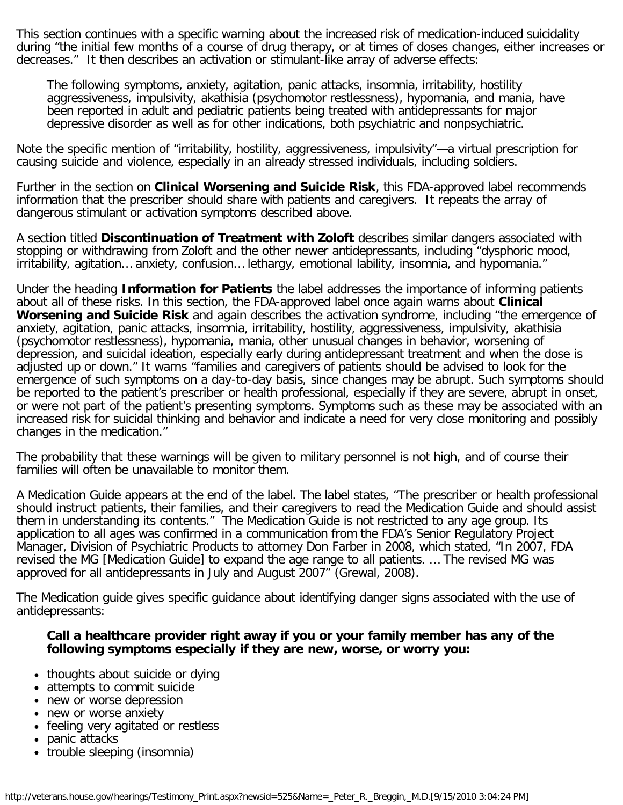This section continues with a specific warning about the increased risk of medication-induced suicidality during "the initial few months of a course of drug therapy, or at times of doses changes, either increases or decreases." It then describes an activation or stimulant-like array of adverse effects:

The following symptoms, anxiety, agitation, panic attacks, insomnia, irritability, hostility aggressiveness, impulsivity, akathisia (psychomotor restlessness), hypomania, and mania, have been reported in adult and pediatric patients being treated with antidepressants for major depressive disorder as well as for other indications, both psychiatric and nonpsychiatric.

Note the specific mention of "irritability, hostility, aggressiveness, impulsivity"—a virtual prescription for causing suicide and violence, especially in an already stressed individuals, including soldiers.

Further in the section on **Clinical Worsening and Suicide Risk**, this FDA-approved label recommends information that the prescriber should share with patients and caregivers. It repeats the array of dangerous stimulant or activation symptoms described above.

A section titled **Discontinuation of Treatment with Zoloft** describes similar dangers associated with stopping or withdrawing from Zoloft and the other newer antidepressants, including "dysphoric mood, irritability, agitation… anxiety, confusion… lethargy, emotional lability, insomnia, and hypomania."

Under the heading **Information for Patients** the label addresses the importance of informing patients about all of these risks. In this section, the FDA-approved label once again warns about **Clinical Worsening and Suicide Risk** and again describes the activation syndrome, including "the emergence of anxiety, agitation, panic attacks, insomnia, irritability, hostility, aggressiveness, impulsivity, akathisia (psychomotor restlessness), hypomania, mania, other unusual changes in behavior, worsening of depression, and suicidal ideation, especially early during antidepressant treatment and when the dose is adjusted up or down." It warns "families and caregivers of patients should be advised to look for the emergence of such symptoms on a day-to-day basis, since changes may be abrupt. Such symptoms should be reported to the patient's prescriber or health professional, especially if they are severe, abrupt in onset, or were not part of the patient's presenting symptoms. Symptoms such as these may be associated with an increased risk for suicidal thinking and behavior and indicate a need for very close monitoring and possibly changes in the medication."

The probability that these warnings will be given to military personnel is not high, and of course their families will often be unavailable to monitor them.

A Medication Guide appears at the end of the label. The label states, "The prescriber or health professional should instruct patients, their families, and their caregivers to read the Medication Guide and should assist them in understanding its contents." The Medication Guide is not restricted to any age group. Its application to all ages was confirmed in a communication from the FDA's Senior Regulatory Project Manager, Division of Psychiatric Products to attorney Don Farber in 2008, which stated, "In 2007, FDA revised the MG [Medication Guide] to expand the age range to all patients. … The revised MG was approved for all antidepressants in July and August 2007" (Grewal, 2008).

The Medication guide gives specific guidance about identifying danger signs associated with the use of antidepressants:

#### **Call a healthcare provider right away if you or your family member has any of the following symptoms especially if they are new, worse, or worry you:**

- thoughts about suicide or dying
- attempts to commit suicide
- new or worse depression
- new or worse anxiety
- feeling very agitated or restless
- panic attacks
- trouble sleeping (insomnia)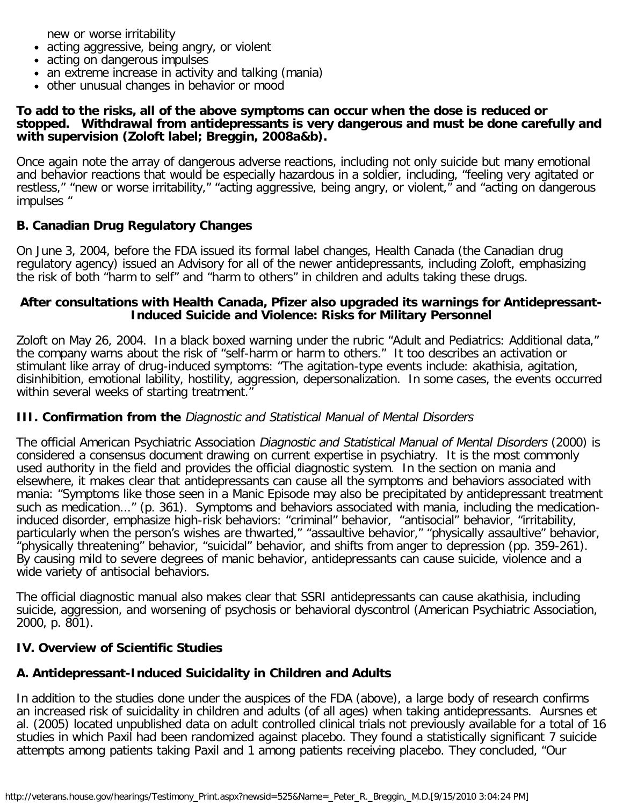new or worse irritability

- acting aggressive, being angry, or violent
- acting on dangerous impulses
- an extreme increase in activity and talking (mania)
- other unusual changes in behavior or mood

#### **To add to the risks, all of the above symptoms can occur when the dose is reduced or stopped. Withdrawal from antidepressants is very dangerous and must be done carefully and with supervision (Zoloft label; Breggin, 2008a&b).**

Once again note the array of dangerous adverse reactions, including not only suicide but many emotional and behavior reactions that would be especially hazardous in a soldier, including, "feeling very agitated or restless," "new or worse irritability," "acting aggressive, being angry, or violent," and "acting on dangerous impulses "

# **B. Canadian Drug Regulatory Changes**

On June 3, 2004, before the FDA issued its formal label changes, Health Canada (the Canadian drug regulatory agency) issued an Advisory for all of the newer antidepressants, including Zoloft, emphasizing the risk of both "harm to self" and "harm to others" in children and adults taking these drugs.

#### **After consultations with Health Canada, Pfizer also upgraded its warnings for Antidepressant-Induced Suicide and Violence: Risks for Military Personnel**

Zoloft on May 26, 2004. In a black boxed warning under the rubric "Adult and Pediatrics: Additional data," the company warns about the risk of "self-harm or harm to others." It too describes an activation or stimulant like array of drug-induced symptoms: "The agitation-type events include: akathisia, agitation, disinhibition, emotional lability, hostility, aggression, depersonalization. In some cases, the events occurred within several weeks of starting treatment."

# **III. Confirmation from the** Diagnostic and Statistical Manual of Mental Disorders

The official American Psychiatric Association Diagnostic and Statistical Manual of Mental Disorders (2000) is considered a consensus document drawing on current expertise in psychiatry. It is the most commonly used authority in the field and provides the official diagnostic system. In the section on mania and elsewhere, it makes clear that antidepressants can cause all the symptoms and behaviors associated with mania: "Symptoms like those seen in a Manic Episode may also be precipitated by antidepressant treatment such as medication..." (p. 361). Symptoms and behaviors associated with mania, including the medicationinduced disorder, emphasize high-risk behaviors: "criminal" behavior, "antisocial" behavior, "irritability, particularly when the person's wishes are thwarted," "assaultive behavior," "physically assaultive" behavior, "physically threatening" behavior, "suicidal" behavior, and shifts from anger to depression (pp. 359-261). By causing mild to severe degrees of manic behavior, antidepressants can cause suicide, violence and a wide variety of antisocial behaviors.

The official diagnostic manual also makes clear that SSRI antidepressants can cause akathisia, including suicide, aggression, and worsening of psychosis or behavioral dyscontrol (American Psychiatric Association, 2000, p. 801).

# **IV. Overview of Scientific Studies**

# **A. Antidepressant-Induced Suicidality in Children and Adults**

In addition to the studies done under the auspices of the FDA (above), a large body of research confirms an increased risk of suicidality in children and adults (of all ages) when taking antidepressants. Aursnes et al. (2005) located unpublished data on adult controlled clinical trials not previously available for a total of 16 studies in which Paxil had been randomized against placebo. They found a statistically significant 7 suicide attempts among patients taking Paxil and 1 among patients receiving placebo. They concluded, "Our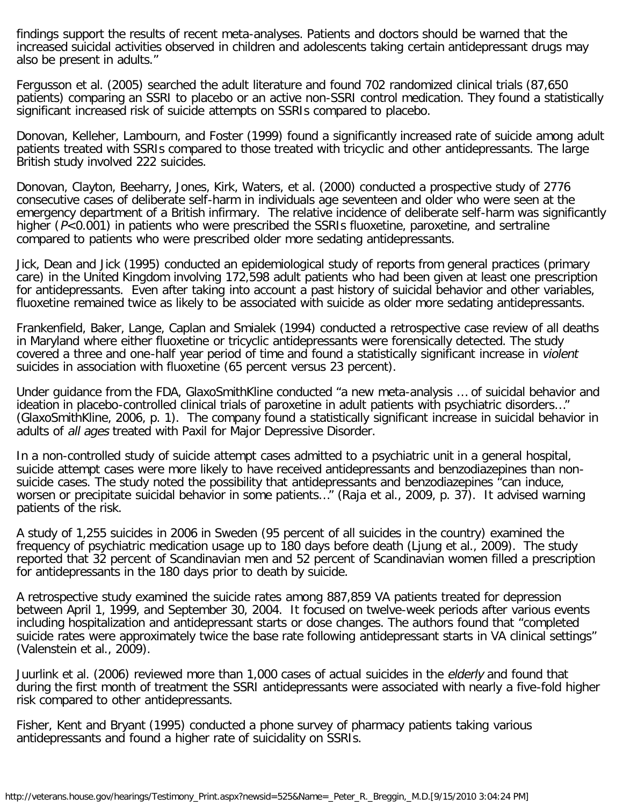findings support the results of recent meta-analyses. Patients and doctors should be warned that the increased suicidal activities observed in children and adolescents taking certain antidepressant drugs may also be present in adults."

Fergusson et al. (2005) searched the adult literature and found 702 randomized clinical trials (87,650 patients) comparing an SSRI to placebo or an active non-SSRI control medication. They found a statistically significant increased risk of suicide attempts on SSRIs compared to placebo.

Donovan, Kelleher, Lambourn, and Foster (1999) found a significantly increased rate of suicide among adult patients treated with SSRIs compared to those treated with tricyclic and other antidepressants. The large British study involved 222 suicides.

Donovan, Clayton, Beeharry, Jones, Kirk, Waters, et al. (2000) conducted a prospective study of 2776 consecutive cases of deliberate self-harm in individuals age seventeen and older who were seen at the emergency department of a British infirmary. The relative incidence of deliberate self-harm was significantly higher (P<0.001) in patients who were prescribed the SSRIs fluoxetine, paroxetine, and sertraline compared to patients who were prescribed older more sedating antidepressants.

Jick, Dean and Jick (1995) conducted an epidemiological study of reports from general practices (primary care) in the United Kingdom involving 172,598 adult patients who had been given at least one prescription for antidepressants. Even after taking into account a past history of suicidal behavior and other variables, fluoxetine remained twice as likely to be associated with suicide as older more sedating antidepressants.

Frankenfield, Baker, Lange, Caplan and Smialek (1994) conducted a retrospective case review of all deaths in Maryland where either fluoxetine or tricyclic antidepressants were forensically detected. The study covered a three and one-half year period of time and found a statistically significant increase in violent suicides in association with fluoxetine (65 percent versus 23 percent).

Under guidance from the FDA, GlaxoSmithKline conducted "a new meta-analysis … of suicidal behavior and ideation in placebo-controlled clinical trials of paroxetine in adult patients with psychiatric disorders…" (GlaxoSmithKline, 2006, p. 1). The company found a statistically significant increase in suicidal behavior in adults of all ages treated with Paxil for Major Depressive Disorder.

In a non-controlled study of suicide attempt cases admitted to a psychiatric unit in a general hospital, suicide attempt cases were more likely to have received antidepressants and benzodiazepines than nonsuicide cases. The study noted the possibility that antidepressants and benzodiazepines "can induce, worsen or precipitate suicidal behavior in some patients…" (Raja et al., 2009, p. 37). It advised warning patients of the risk.

A study of 1,255 suicides in 2006 in Sweden (95 percent of all suicides in the country) examined the frequency of psychiatric medication usage up to 180 days before death (Ljung et al., 2009). The study reported that 32 percent of Scandinavian men and 52 percent of Scandinavian women filled a prescription for antidepressants in the 180 days prior to death by suicide.

A retrospective study examined the suicide rates among 887,859 VA patients treated for depression between April 1, 1999, and September 30, 2004. It focused on twelve-week periods after various events including hospitalization and antidepressant starts or dose changes. The authors found that "completed suicide rates were approximately twice the base rate following antidepressant starts in VA clinical settings" (Valenstein et al., 2009).

Juurlink et al. (2006) reviewed more than 1,000 cases of actual suicides in the elderly and found that during the first month of treatment the SSRI antidepressants were associated with nearly a five-fold higher risk compared to other antidepressants.

Fisher, Kent and Bryant (1995) conducted a phone survey of pharmacy patients taking various antidepressants and found a higher rate of suicidality on SSRIs.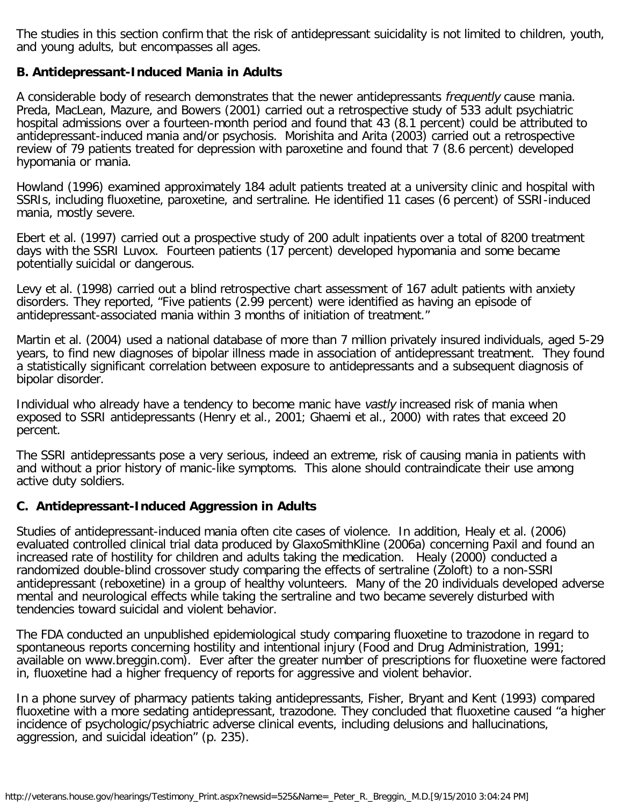The studies in this section confirm that the risk of antidepressant suicidality is not limited to children, youth, and young adults, but encompasses all ages.

### **B. Antidepressant-Induced Mania in Adults**

A considerable body of research demonstrates that the newer antidepressants frequently cause mania. Preda, MacLean, Mazure, and Bowers (2001) carried out a retrospective study of 533 adult psychiatric hospital admissions over a fourteen-month period and found that 43 (8.1 percent) could be attributed to antidepressant-induced mania and/or psychosis. Morishita and Arita (2003) carried out a retrospective review of 79 patients treated for depression with paroxetine and found that 7 (8.6 percent) developed hypomania or mania.

Howland (1996) examined approximately 184 adult patients treated at a university clinic and hospital with SSRIs, including fluoxetine, paroxetine, and sertraline. He identified 11 cases (6 percent) of SSRI-induced mania, mostly severe.

Ebert et al. (1997) carried out a prospective study of 200 adult inpatients over a total of 8200 treatment days with the SSRI Luvox. Fourteen patients (17 percent) developed hypomania and some became potentially suicidal or dangerous.

Levy et al. (1998) carried out a blind retrospective chart assessment of 167 adult patients with anxiety disorders. They reported, "Five patients (2.99 percent) were identified as having an episode of antidepressant-associated mania within 3 months of initiation of treatment."

Martin et al. (2004) used a national database of more than 7 million privately insured individuals, aged 5-29 years, to find new diagnoses of bipolar illness made in association of antidepressant treatment. They found a statistically significant correlation between exposure to antidepressants and a subsequent diagnosis of bipolar disorder.

Individual who already have a tendency to become manic have vastly increased risk of mania when exposed to SSRI antidepressants (Henry et al., 2001; Ghaemi et al., 2000) with rates that exceed 20 percent.

The SSRI antidepressants pose a very serious, indeed an extreme, risk of causing mania in patients with and without a prior history of manic-like symptoms. This alone should contraindicate their use among active duty soldiers.

#### **C. Antidepressant-Induced Aggression in Adults**

Studies of antidepressant-induced mania often cite cases of violence. In addition, Healy et al. (2006) evaluated controlled clinical trial data produced by GlaxoSmithKline (2006a) concerning Paxil and found an increased rate of hostility for children and adults taking the medication. Healy (2000) conducted a randomized double-blind crossover study comparing the effects of sertraline (Zoloft) to a non-SSRI antidepressant (reboxetine) in a group of healthy volunteers. Many of the 20 individuals developed adverse mental and neurological effects while taking the sertraline and two became severely disturbed with tendencies toward suicidal and violent behavior.

The FDA conducted an unpublished epidemiological study comparing fluoxetine to trazodone in regard to spontaneous reports concerning hostility and intentional injury (Food and Drug Administration, 1991; available on www.breggin.com). Ever after the greater number of prescriptions for fluoxetine were factored in, fluoxetine had a higher frequency of reports for aggressive and violent behavior.

In a phone survey of pharmacy patients taking antidepressants, Fisher, Bryant and Kent (1993) compared fluoxetine with a more sedating antidepressant, trazodone. They concluded that fluoxetine caused "a higher incidence of psychologic/psychiatric adverse clinical events, including delusions and hallucinations, aggression, and suicidal ideation" (p. 235).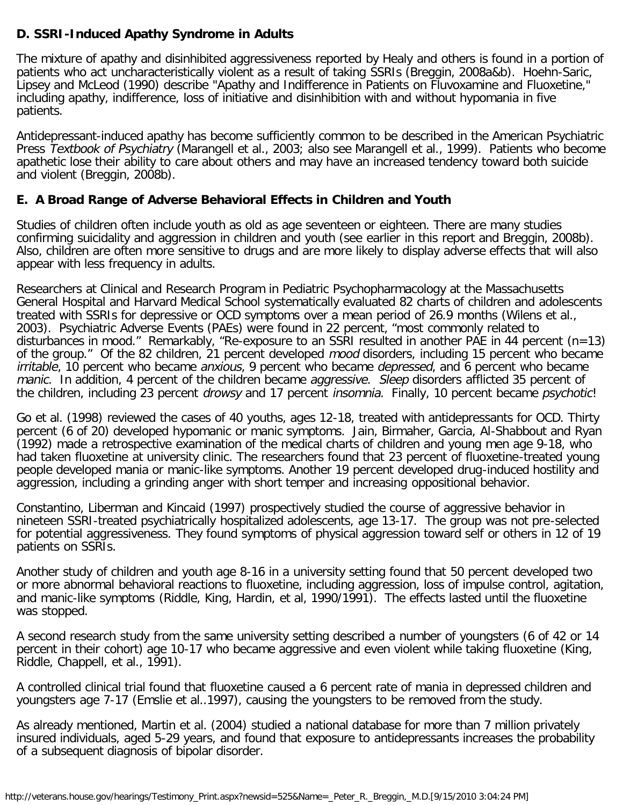# **D. SSRI-Induced Apathy Syndrome in Adults**

The mixture of apathy and disinhibited aggressiveness reported by Healy and others is found in a portion of patients who act uncharacteristically violent as a result of taking SSRIs (Breggin, 2008a&b). Hoehn-Saric, Lipsey and McLeod (1990) describe "Apathy and Indifference in Patients on Fluvoxamine and Fluoxetine, including apathy, indifference, loss of initiative and disinhibition with and without hypomania in five patients.

Antidepressant-induced apathy has become sufficiently common to be described in the American Psychiatric Press Textbook of Psychiatry (Marangell et al., 2003; also see Marangell et al., 1999). Patients who become apathetic lose their ability to care about others and may have an increased tendency toward both suicide and violent (Breggin, 2008b).

# **E. A Broad Range of Adverse Behavioral Effects in Children and Youth**

Studies of children often include youth as old as age seventeen or eighteen. There are many studies confirming suicidality and aggression in children and youth (see earlier in this report and Breggin, 2008b). Also, children are often more sensitive to drugs and are more likely to display adverse effects that will also appear with less frequency in adults.

Researchers at Clinical and Research Program in Pediatric Psychopharmacology at the Massachusetts General Hospital and Harvard Medical School systematically evaluated 82 charts of children and adolescents treated with SSRIs for depressive or OCD symptoms over a mean period of 26.9 months (Wilens et al., 2003). Psychiatric Adverse Events (PAEs) were found in 22 percent, "most commonly related to disturbances in mood." Remarkably, "Re-exposure to an SSRI resulted in another PAE in 44 percent (n=13) of the group." Of the 82 children, 21 percent developed mood disorders, including 15 percent who became irritable, 10 percent who became anxious, 9 percent who became depressed, and 6 percent who became manic. In addition, 4 percent of the children became aggressive. Sleep disorders afflicted 35 percent of the children, including 23 percent *drowsy* and 17 percent *insomnia*. Finally, 10 percent became *psychotic!* 

Go et al. (1998) reviewed the cases of 40 youths, ages 12-18, treated with antidepressants for OCD. Thirty percent (6 of 20) developed hypomanic or manic symptoms. Jain, Birmaher, Garcia, Al-Shabbout and Ryan (1992) made a retrospective examination of the medical charts of children and young men age 9-18, who had taken fluoxetine at university clinic. The researchers found that 23 percent of fluoxetine-treated young people developed mania or manic-like symptoms. Another 19 percent developed drug-induced hostility and aggression, including a grinding anger with short temper and increasing oppositional behavior.

Constantino, Liberman and Kincaid (1997) prospectively studied the course of aggressive behavior in nineteen SSRI-treated psychiatrically hospitalized adolescents, age 13-17. The group was not pre-selected for potential aggressiveness. They found symptoms of physical aggression toward self or others in 12 of 19 patients on SSRIs.

Another study of children and youth age 8-16 in a university setting found that 50 percent developed two or more abnormal behavioral reactions to fluoxetine, including aggression, loss of impulse control, agitation, and manic-like symptoms (Riddle, King, Hardin, et al, 1990/1991). The effects lasted until the fluoxetine was stopped.

A second research study from the same university setting described a number of youngsters (6 of 42 or 14 percent in their cohort) age 10-17 who became aggressive and even violent while taking fluoxetine (King, Riddle, Chappell, et al., 1991).

A controlled clinical trial found that fluoxetine caused a 6 percent rate of mania in depressed children and youngsters age 7-17 (Emslie et al..1997), causing the youngsters to be removed from the study.

As already mentioned, Martin et al. (2004) studied a national database for more than 7 million privately insured individuals, aged 5-29 years, and found that exposure to antidepressants increases the probability of a subsequent diagnosis of bipolar disorder.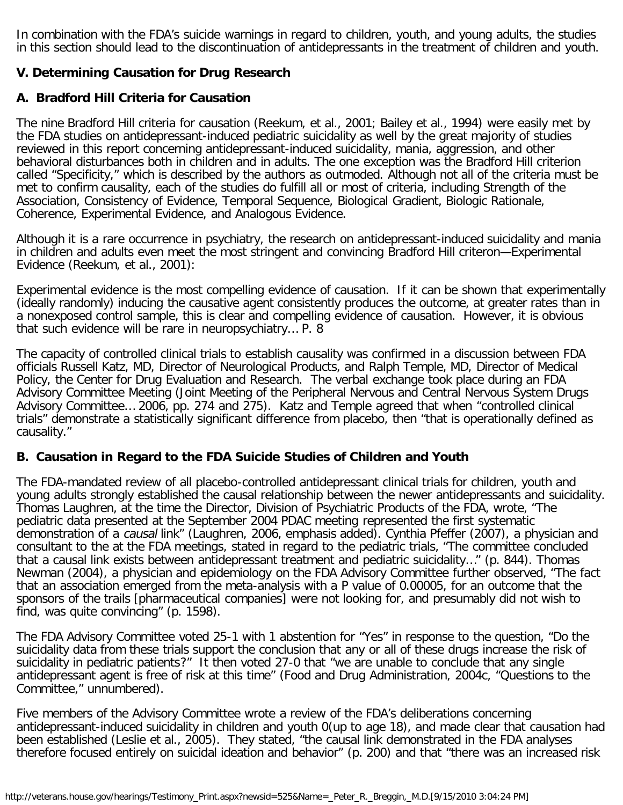In combination with the FDA's suicide warnings in regard to children, youth, and young adults, the studies in this section should lead to the discontinuation of antidepressants in the treatment of children and youth.

# **V. Determining Causation for Drug Research**

# **A. Bradford Hill Criteria for Causation**

The nine Bradford Hill criteria for causation (Reekum, et al., 2001; Bailey et al., 1994) were easily met by the FDA studies on antidepressant-induced pediatric suicidality as well by the great majority of studies reviewed in this report concerning antidepressant-induced suicidality, mania, aggression, and other behavioral disturbances both in children and in adults. The one exception was the Bradford Hill criterion called "Specificity," which is described by the authors as outmoded. Although not all of the criteria must be met to confirm causality, each of the studies do fulfill all or most of criteria, including Strength of the Association, Consistency of Evidence, Temporal Sequence, Biological Gradient, Biologic Rationale, Coherence, Experimental Evidence, and Analogous Evidence.

Although it is a rare occurrence in psychiatry, the research on antidepressant-induced suicidality and mania in children and adults even meet the most stringent and convincing Bradford Hill criteron—Experimental Evidence (Reekum, et al., 2001):

Experimental evidence is the most compelling evidence of causation. If it can be shown that experimentally (ideally randomly) inducing the causative agent consistently produces the outcome, at greater rates than in a nonexposed control sample, this is clear and compelling evidence of causation. However, it is obvious that such evidence will be rare in neuropsychiatry… P. 8

The capacity of controlled clinical trials to establish causality was confirmed in a discussion between FDA officials Russell Katz, MD, Director of Neurological Products, and Ralph Temple, MD, Director of Medical Policy, the Center for Drug Evaluation and Research. The verbal exchange took place during an FDA Advisory Committee Meeting (Joint Meeting of the Peripheral Nervous and Central Nervous System Drugs Advisory Committee… 2006, pp. 274 and 275). Katz and Temple agreed that when "controlled clinical trials" demonstrate a statistically significant difference from placebo, then "that is operationally defined as causality."

#### **B. Causation in Regard to the FDA Suicide Studies of Children and Youth**

The FDA-mandated review of all placebo-controlled antidepressant clinical trials for children, youth and young adults strongly established the causal relationship between the newer antidepressants and suicidality. Thomas Laughren, at the time the Director, Division of Psychiatric Products of the FDA, wrote, "The pediatric data presented at the September 2004 PDAC meeting represented the first systematic demonstration of a causal link" (Laughren, 2006, emphasis added). Cynthia Pfeffer (2007), a physician and consultant to the at the FDA meetings, stated in regard to the pediatric trials, "The committee concluded that a causal link exists between antidepressant treatment and pediatric suicidality…" (p. 844). Thomas Newman (2004), a physician and epidemiology on the FDA Advisory Committee further observed, "The fact that an association emerged from the meta-analysis with a P value of 0.00005, for an outcome that the sponsors of the trails [pharmaceutical companies] were not looking for, and presumably did not wish to find, was quite convincing" (p. 1598).

The FDA Advisory Committee voted 25-1 with 1 abstention for "Yes" in response to the question, "Do the suicidality data from these trials support the conclusion that any or all of these drugs increase the risk of suicidality in pediatric patients?" It then voted 27-0 that "we are unable to conclude that any single antidepressant agent is free of risk at this time" (Food and Drug Administration, 2004c, "Questions to the Committee," unnumbered).

Five members of the Advisory Committee wrote a review of the FDA's deliberations concerning antidepressant-induced suicidality in children and youth 0(up to age 18), and made clear that causation had been established (Leslie et al., 2005). They stated, "the causal link demonstrated in the FDA analyses therefore focused entirely on suicidal ideation and behavior" (p. 200) and that "there was an increased risk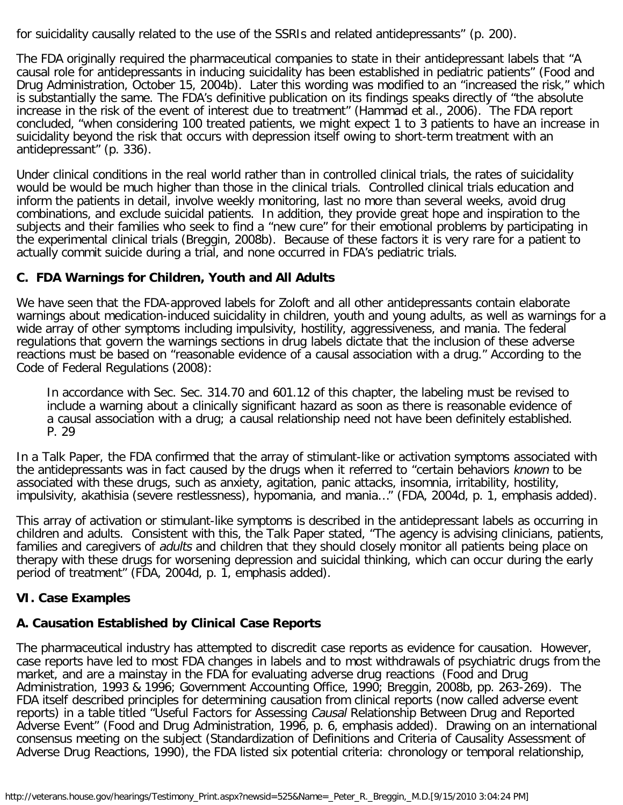for suicidality causally related to the use of the SSRIs and related antidepressants" (p. 200).

The FDA originally required the pharmaceutical companies to state in their antidepressant labels that "A causal role for antidepressants in inducing suicidality has been established in pediatric patients" (Food and Drug Administration, October 15, 2004b). Later this wording was modified to an "increased the risk," which is substantially the same. The FDA's definitive publication on its findings speaks directly of "the absolute increase in the risk of the event of interest due to treatment" (Hammad et al., 2006). The FDA report concluded, "when considering 100 treated patients, we might expect 1 to 3 patients to have an increase in suicidality beyond the risk that occurs with depression itself owing to short-term treatment with an antidepressant" (p. 336).

Under clinical conditions in the real world rather than in controlled clinical trials, the rates of suicidality would be would be much higher than those in the clinical trials. Controlled clinical trials education and inform the patients in detail, involve weekly monitoring, last no more than several weeks, avoid drug combinations, and exclude suicidal patients. In addition, they provide great hope and inspiration to the subjects and their families who seek to find a "new cure" for their emotional problems by participating in the experimental clinical trials (Breggin, 2008b). Because of these factors it is very rare for a patient to actually commit suicide during a trial, and none occurred in FDA's pediatric trials.

# **C. FDA Warnings for Children, Youth and All Adults**

We have seen that the FDA-approved labels for Zoloft and all other antidepressants contain elaborate warnings about medication-induced suicidality in children, youth and young adults, as well as warnings for a wide array of other symptoms including impulsivity, hostility, aggressiveness, and mania. The federal regulations that govern the warnings sections in drug labels dictate that the inclusion of these adverse reactions must be based on "reasonable evidence of a causal association with a drug." According to the Code of Federal Regulations (2008):

In accordance with Sec. Sec. 314.70 and 601.12 of this chapter, the labeling must be revised to include a warning about a clinically significant hazard as soon as there is reasonable evidence of a causal association with a drug; a causal relationship need not have been definitely established. P. 29

In a Talk Paper, the FDA confirmed that the array of stimulant-like or activation symptoms associated with the antidepressants was in fact caused by the drugs when it referred to "certain behaviors known to be associated with these drugs, such as anxiety, agitation, panic attacks, insomnia, irritability, hostility, impulsivity, akathisia (severe restlessness), hypomania, and mania…" (FDA, 2004d, p. 1, emphasis added).

This array of activation or stimulant-like symptoms is described in the antidepressant labels as occurring in children and adults. Consistent with this, the Talk Paper stated, "The agency is advising clinicians, patients, families and caregivers of adults and children that they should closely monitor all patients being place on therapy with these drugs for worsening depression and suicidal thinking, which can occur during the early period of treatment" (FDA, 2004d, p. 1, emphasis added).

# **VI. Case Examples**

# **A. Causation Established by Clinical Case Reports**

The pharmaceutical industry has attempted to discredit case reports as evidence for causation. However, case reports have led to most FDA changes in labels and to most withdrawals of psychiatric drugs from the market, and are a mainstay in the FDA for evaluating adverse drug reactions (Food and Drug Administration, 1993 & 1996; Government Accounting Office, 1990; Breggin, 2008b, pp. 263-269). The FDA itself described principles for determining causation from clinical reports (now called adverse event reports) in a table titled "Useful Factors for Assessing Causal Relationship Between Drug and Reported Adverse Event" (Food and Drug Administration, 1996, p. 6, emphasis added). Drawing on an international consensus meeting on the subject (Standardization of Definitions and Criteria of Causality Assessment of Adverse Drug Reactions, 1990), the FDA listed six potential criteria: chronology or temporal relationship,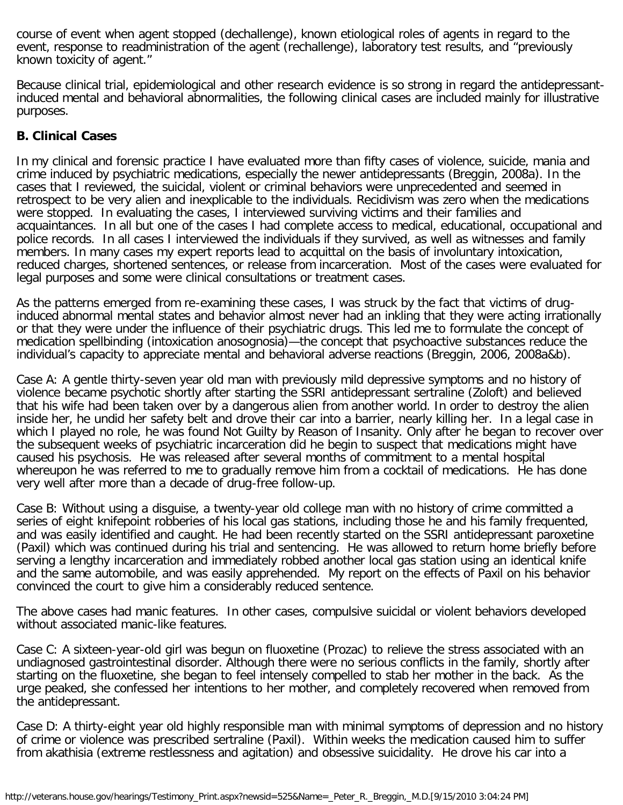course of event when agent stopped (dechallenge), known etiological roles of agents in regard to the event, response to readministration of the agent (rechallenge), laboratory test results, and "previously known toxicity of agent."

Because clinical trial, epidemiological and other research evidence is so strong in regard the antidepressantinduced mental and behavioral abnormalities, the following clinical cases are included mainly for illustrative purposes.

#### **B. Clinical Cases**

In my clinical and forensic practice I have evaluated more than fifty cases of violence, suicide, mania and crime induced by psychiatric medications, especially the newer antidepressants (Breggin, 2008a). In the cases that I reviewed, the suicidal, violent or criminal behaviors were unprecedented and seemed in retrospect to be very alien and inexplicable to the individuals. Recidivism was zero when the medications were stopped. In evaluating the cases, I interviewed surviving victims and their families and acquaintances. In all but one of the cases I had complete access to medical, educational, occupational and police records. In all cases I interviewed the individuals if they survived, as well as witnesses and family members. In many cases my expert reports lead to acquittal on the basis of involuntary intoxication, reduced charges, shortened sentences, or release from incarceration. Most of the cases were evaluated for legal purposes and some were clinical consultations or treatment cases.

As the patterns emerged from re-examining these cases, I was struck by the fact that victims of druginduced abnormal mental states and behavior almost never had an inkling that they were acting irrationally or that they were under the influence of their psychiatric drugs. This led me to formulate the concept of medication spellbinding (intoxication anosognosia)—the concept that psychoactive substances reduce the individual's capacity to appreciate mental and behavioral adverse reactions (Breggin, 2006, 2008a&b).

Case A: A gentle thirty-seven year old man with previously mild depressive symptoms and no history of violence became psychotic shortly after starting the SSRI antidepressant sertraline (Zoloft) and believed that his wife had been taken over by a dangerous alien from another world. In order to destroy the alien inside her, he undid her safety belt and drove their car into a barrier, nearly killing her. In a legal case in which I played no role, he was found Not Guilty by Reason of Insanity. Only after he began to recover over the subsequent weeks of psychiatric incarceration did he begin to suspect that medications might have caused his psychosis. He was released after several months of commitment to a mental hospital whereupon he was referred to me to gradually remove him from a cocktail of medications. He has done very well after more than a decade of drug-free follow-up.

Case B: Without using a disguise, a twenty-year old college man with no history of crime committed a series of eight knifepoint robberies of his local gas stations, including those he and his family frequented, and was easily identified and caught. He had been recently started on the SSRI antidepressant paroxetine (Paxil) which was continued during his trial and sentencing. He was allowed to return home briefly before serving a lengthy incarceration and immediately robbed another local gas station using an identical knife and the same automobile, and was easily apprehended. My report on the effects of Paxil on his behavior convinced the court to give him a considerably reduced sentence.

The above cases had manic features. In other cases, compulsive suicidal or violent behaviors developed without associated manic-like features.

Case C: A sixteen-year-old girl was begun on fluoxetine (Prozac) to relieve the stress associated with an undiagnosed gastrointestinal disorder. Although there were no serious conflicts in the family, shortly after starting on the fluoxetine, she began to feel intensely compelled to stab her mother in the back. As the urge peaked, she confessed her intentions to her mother, and completely recovered when removed from the antidepressant.

Case D: A thirty-eight year old highly responsible man with minimal symptoms of depression and no history of crime or violence was prescribed sertraline (Paxil). Within weeks the medication caused him to suffer from akathisia (extreme restlessness and agitation) and obsessive suicidality. He drove his car into a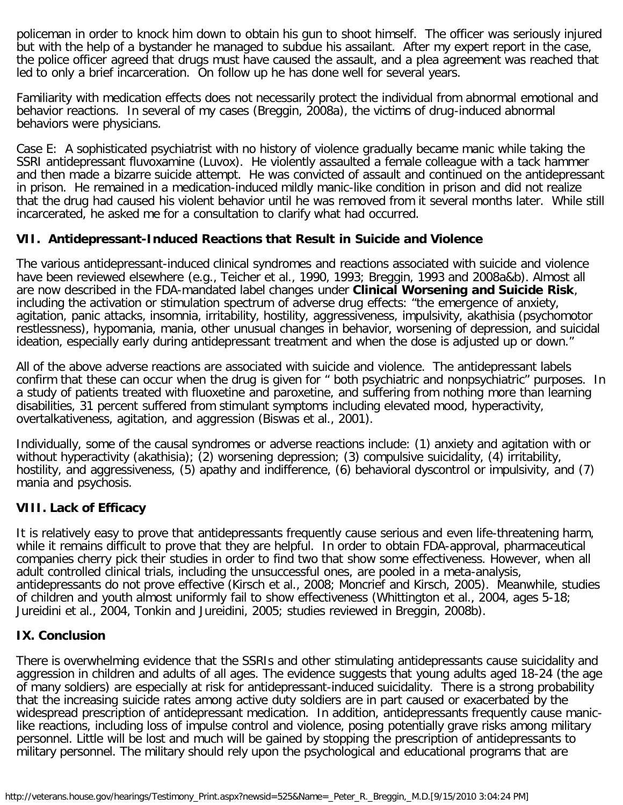policeman in order to knock him down to obtain his gun to shoot himself. The officer was seriously injured but with the help of a bystander he managed to subdue his assailant. After my expert report in the case, the police officer agreed that drugs must have caused the assault, and a plea agreement was reached that led to only a brief incarceration. On follow up he has done well for several years.

Familiarity with medication effects does not necessarily protect the individual from abnormal emotional and behavior reactions. In several of my cases (Breggin, 2008a), the victims of drug-induced abnormal behaviors were physicians.

Case E: A sophisticated psychiatrist with no history of violence gradually became manic while taking the SSRI antidepressant fluvoxamine (Luvox). He violently assaulted a female colleague with a tack hammer and then made a bizarre suicide attempt. He was convicted of assault and continued on the antidepressant in prison. He remained in a medication-induced mildly manic-like condition in prison and did not realize that the drug had caused his violent behavior until he was removed from it several months later. While still incarcerated, he asked me for a consultation to clarify what had occurred.

# **VII. Antidepressant-Induced Reactions that Result in Suicide and Violence**

The various antidepressant-induced clinical syndromes and reactions associated with suicide and violence have been reviewed elsewhere (e.g., Teicher et al., 1990, 1993; Breggin, 1993 and 2008a&b). Almost all are now described in the FDA-mandated label changes under **Clinical Worsening and Suicide Risk**, including the activation or stimulation spectrum of adverse drug effects: "the emergence of anxiety, agitation, panic attacks, insomnia, irritability, hostility, aggressiveness, impulsivity, akathisia (psychomotor restlessness), hypomania, mania, other unusual changes in behavior, worsening of depression, and suicidal ideation, especially early during antidepressant treatment and when the dose is adjusted up or down."

All of the above adverse reactions are associated with suicide and violence. The antidepressant labels confirm that these can occur when the drug is given for " both psychiatric and nonpsychiatric" purposes. In a study of patients treated with fluoxetine and paroxetine, and suffering from nothing more than learning disabilities, 31 percent suffered from stimulant symptoms including elevated mood, hyperactivity, overtalkativeness, agitation, and aggression (Biswas et al., 2001).

Individually, some of the causal syndromes or adverse reactions include: (1) anxiety and agitation with or without hyperactivity (akathisia); (2) worsening depression; (3) compulsive suicidality, (4) irritability, hostility, and aggressiveness, (5) apathy and indifference, (6) behavioral dyscontrol or impulsivity, and (7) mania and psychosis.

# **VIII. Lack of Efficacy**

It is relatively easy to prove that antidepressants frequently cause serious and even life-threatening harm, while it remains difficult to prove that they are helpful. In order to obtain FDA-approval, pharmaceutical companies cherry pick their studies in order to find two that show some effectiveness. However, when all adult controlled clinical trials, including the unsuccessful ones, are pooled in a meta-analysis, antidepressants do not prove effective (Kirsch et al., 2008; Moncrief and Kirsch, 2005). Meanwhile, studies of children and youth almost uniformly fail to show effectiveness (Whittington et al., 2004, ages 5-18; Jureidini et al., 2004, Tonkin and Jureidini, 2005; studies reviewed in Breggin, 2008b).

# **IX. Conclusion**

There is overwhelming evidence that the SSRIs and other stimulating antidepressants cause suicidality and aggression in children and adults of all ages. The evidence suggests that young adults aged 18-24 (the age of many soldiers) are especially at risk for antidepressant-induced suicidality. There is a strong probability that the increasing suicide rates among active duty soldiers are in part caused or exacerbated by the widespread prescription of antidepressant medication. In addition, antidepressants frequently cause maniclike reactions, including loss of impulse control and violence, posing potentially grave risks among military personnel. Little will be lost and much will be gained by stopping the prescription of antidepressants to military personnel. The military should rely upon the psychological and educational programs that are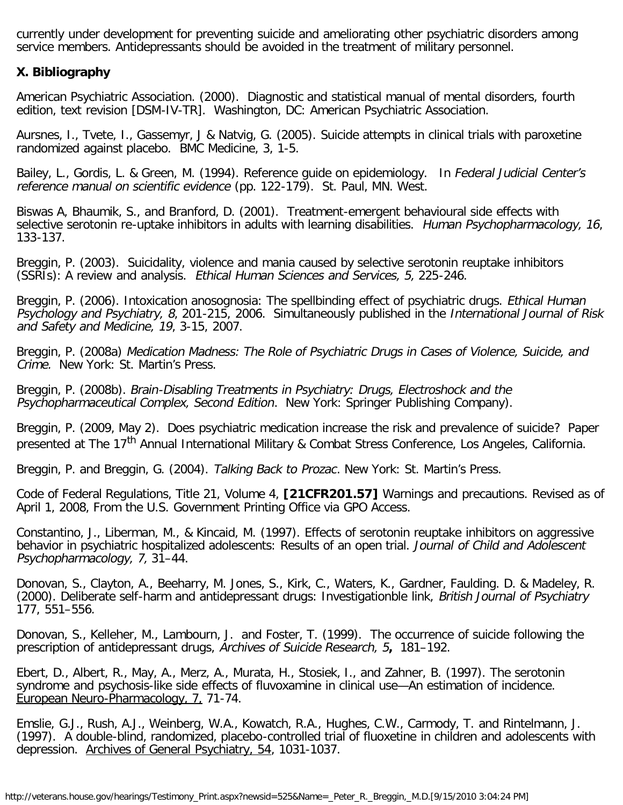currently under development for preventing suicide and ameliorating other psychiatric disorders among service members. Antidepressants should be avoided in the treatment of military personnel.

#### **X. Bibliography**

American Psychiatric Association. (2000). Diagnostic and statistical manual of mental disorders, fourth edition, text revision [DSM-IV-TR]. Washington, DC: American Psychiatric Association.

Aursnes, I., Tvete, I., Gassemyr, J & Natvig, G. (2005). Suicide attempts in clinical trials with paroxetine randomized against placebo. BMC Medicine, 3, 1-5.

Bailey, L., Gordis, L. & Green, M. (1994). Reference quide on epidemiology. In Federal Judicial Center's reference manual on scientific evidence (pp. 122-179). St. Paul, MN. West.

Biswas A, Bhaumik, S., and Branford, D. (2001). Treatment-emergent behavioural side effects with selective serotonin re-uptake inhibitors in adults with learning disabilities. Human Psychopharmacology, 16, 133-137.

Breggin, P. (2003). Suicidality, violence and mania caused by selective serotonin reuptake inhibitors (SSRIs): A review and analysis. Ethical Human Sciences and Services, 5, 225-246.

Breggin, P. (2006). Intoxication anosognosia: The spellbinding effect of psychiatric drugs. Ethical Human Psychology and Psychiatry, 8, 201-215, 2006. Simultaneously published in the International Journal of Risk and Safety and Medicine, 19, 3-15, 2007.

Breggin, P. (2008a) Medication Madness: The Role of Psychiatric Drugs in Cases of Violence, Suicide, and Crime. New York: St. Martin's Press.

Breggin, P. (2008b). Brain-Disabling Treatments in Psychiatry: Drugs, Electroshock and the Psychopharmaceutical Complex, Second Edition. New York: Springer Publishing Company).

Breggin, P. (2009, May 2). Does psychiatric medication increase the risk and prevalence of suicide? Paper presented at The 17<sup>th</sup> Annual International Military & Combat Stress Conference, Los Angeles, California.

Breggin, P. and Breggin, G. (2004). Talking Back to Prozac. New York: St. Martin's Press.

Code of Federal Regulations, Title 21, Volume 4, **[21CFR201.57]** Warnings and precautions. Revised as of April 1, 2008, From the U.S. Government Printing Office via GPO Access.

Constantino, J., Liberman, M., & Kincaid, M. (1997). Effects of serotonin reuptake inhibitors on aggressive behavior in psychiatric hospitalized adolescents: Results of an open trial. Journal of Child and Adolescent Psychopharmacology, 7, 31–44.

Donovan, S., Clayton, A., Beeharry, M. Jones, S., Kirk, C., Waters, K., Gardner, Faulding. D. & Madeley, R. (2000). Deliberate self-harm and antidepressant drugs: Investigationble link, British Journal of Psychiatry 177, 551–556.

Donovan, S., Kelleher, M., Lambourn, J. and Foster, T. (1999). The occurrence of suicide following the prescription of antidepressant drugs, Archives of Suicide Research, 5**,** 181–192.

Ebert, D., Albert, R., May, A., Merz, A., Murata, H., Stosiek, I., and Zahner, B. (1997). The serotonin syndrome and psychosis-like side effects of fluvoxamine in clinical use—An estimation of incidence. European Neuro-Pharmacology, 7, 71-74.

Emslie, G.J., Rush, A.J., Weinberg, W.A., Kowatch, R.A., Hughes, C.W., Carmody, T. and Rintelmann, J. (1997). A double-blind, randomized, placebo-controlled trial of fluoxetine in children and adolescents with depression. Archives of General Psychiatry, 54, 1031-1037.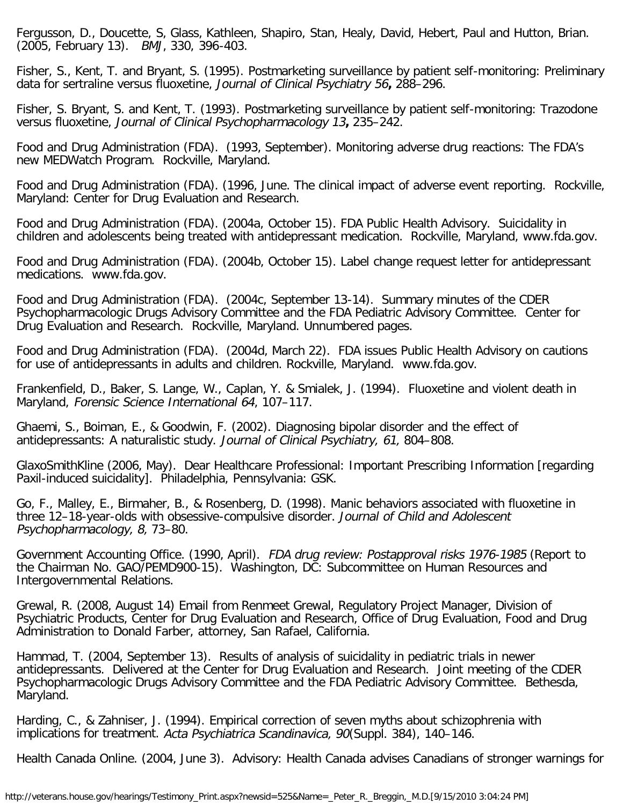Fergusson, D., Doucette, S, Glass, Kathleen, Shapiro, Stan, Healy, David, Hebert, Paul and Hutton, Brian. (2005, February 13). BMJ, 330, 396-403.

Fisher, S., Kent, T. and Bryant, S. (1995). Postmarketing surveillance by patient self-monitoring: Preliminary data for sertraline versus fluoxetine, Journal of Clinical Psychiatry 56**,** 288–296.

Fisher, S. Bryant, S. and Kent, T. (1993). Postmarketing surveillance by patient self-monitoring: Trazodone versus fluoxetine, Journal of Clinical Psychopharmacology 13**,** 235–242.

Food and Drug Administration (FDA). (1993, September). Monitoring adverse drug reactions: The FDA's new MEDWatch Program. Rockville, Maryland.

Food and Drug Administration (FDA). (1996, June. The clinical impact of adverse event reporting. Rockville, Maryland: Center for Drug Evaluation and Research.

Food and Drug Administration (FDA). (2004a, October 15). FDA Public Health Advisory. Suicidality in children and adolescents being treated with antidepressant medication. Rockville, Maryland, www.fda.gov.

Food and Drug Administration (FDA). (2004b, October 15). Label change request letter for antidepressant medications. www.fda.gov.

Food and Drug Administration (FDA). (2004c, September 13-14). Summary minutes of the CDER Psychopharmacologic Drugs Advisory Committee and the FDA Pediatric Advisory Committee. Center for Drug Evaluation and Research. Rockville, Maryland. Unnumbered pages.

Food and Drug Administration (FDA). (2004d, March 22). FDA issues Public Health Advisory on cautions for use of antidepressants in adults and children. Rockville, Maryland. www.fda.gov.

Frankenfield, D., Baker, S. Lange, W., Caplan, Y. & Smialek, J. (1994). Fluoxetine and violent death in Maryland, Forensic Science International 64, 107–117.

Ghaemi, S., Boiman, E., & Goodwin, F. (2002). Diagnosing bipolar disorder and the effect of antidepressants: A naturalistic study. Journal of Clinical Psychiatry, 61, 804–808.

GlaxoSmithKline (2006, May). Dear Healthcare Professional: Important Prescribing Information [regarding Paxil-induced suicidality]. Philadelphia, Pennsylvania: GSK.

Go, F., Malley, E., Birmaher, B., & Rosenberg, D. (1998). Manic behaviors associated with fluoxetine in three 12–18-year-olds with obsessive-compulsive disorder. Journal of Child and Adolescent Psychopharmacology, 8, 73–80.

Government Accounting Office. (1990, April). FDA drug review: Postapproval risks 1976-1985 (Report to the Chairman No. GAO/PEMD900-15). Washington, DC: Subcommittee on Human Resources and Intergovernmental Relations.

Grewal, R. (2008, August 14) Email from Renmeet Grewal, Regulatory Project Manager, Division of Psychiatric Products, Center for Drug Evaluation and Research, Office of Drug Evaluation, Food and Drug Administration to Donald Farber, attorney, San Rafael, California.

Hammad, T. (2004, September 13). Results of analysis of suicidality in pediatric trials in newer antidepressants. Delivered at the Center for Drug Evaluation and Research. Joint meeting of the CDER Psychopharmacologic Drugs Advisory Committee and the FDA Pediatric Advisory Committee. Bethesda, Maryland.

Harding, C., & Zahniser, J. (1994). Empirical correction of seven myths about schizophrenia with implications for treatment. Acta Psychiatrica Scandinavica, 90(Suppl. 384), 140–146.

Health Canada Online. (2004, June 3). Advisory: Health Canada advises Canadians of stronger warnings for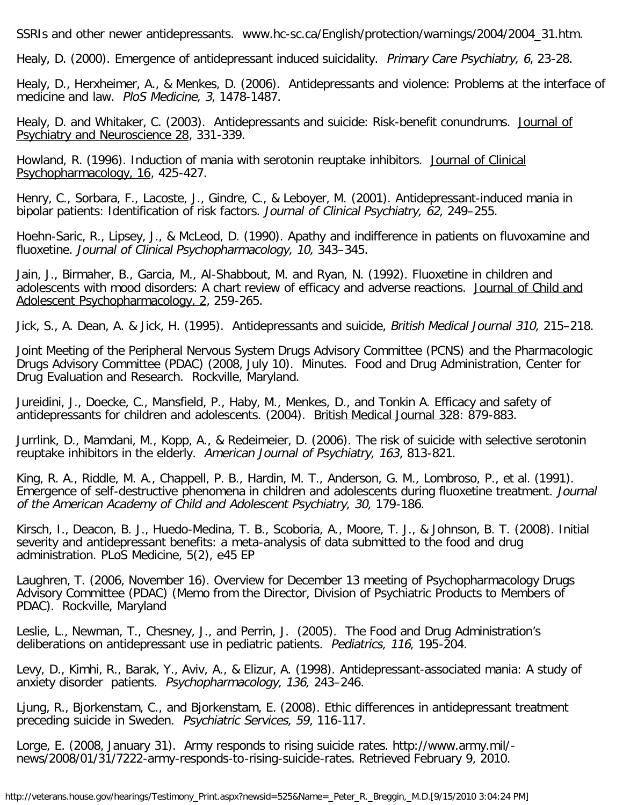SSRIs and other newer antidepressants. www.hc-sc.ca/English/protection/warnings/2004/2004\_31.htm.

Healy, D. (2000). Emergence of antidepressant induced suicidality. Primary Care Psychiatry, 6, 23-28.

Healy, D., Herxheimer, A., & Menkes, D. (2006). Antidepressants and violence: Problems at the interface of medicine and law. PloS Medicine, 3, 1478-1487.

Healy, D. and Whitaker, C. (2003). Antidepressants and suicide: Risk-benefit conundrums. Journal of Psychiatry and Neuroscience 28, 331-339.

Howland, R. (1996). Induction of mania with serotonin reuptake inhibitors. Journal of Clinical Psychopharmacology, 16, 425-427.

Henry, C., Sorbara, F., Lacoste, J., Gindre, C., & Leboyer, M. (2001). Antidepressant-induced mania in bipolar patients: Identification of risk factors. Journal of Clinical Psychiatry, 62, 249–255.

Hoehn-Saric, R., Lipsey, J., & McLeod, D. (1990). Apathy and indifference in patients on fluvoxamine and fluoxetine. Journal of Clinical Psychopharmacology, 10, 343–345.

Jain, J., Birmaher, B., Garcia, M., Al-Shabbout, M. and Ryan, N. (1992). Fluoxetine in children and adolescents with mood disorders: A chart review of efficacy and adverse reactions. Journal of Child and Adolescent Psychopharmacology, 2, 259-265.

Jick, S., A. Dean, A. & Jick, H. (1995). Antidepressants and suicide, British Medical Journal 310, 215–218.

Joint Meeting of the Peripheral Nervous System Drugs Advisory Committee (PCNS) and the Pharmacologic Drugs Advisory Committee (PDAC) (2008, July 10). Minutes. Food and Drug Administration, Center for Drug Evaluation and Research. Rockville, Maryland.

Jureidini, J., Doecke, C., Mansfield, P., Haby, M., Menkes, D., and Tonkin A. Efficacy and safety of antidepressants for children and adolescents. (2004). British Medical Journal 328: 879-883.

Jurrlink, D., Mamdani, M., Kopp, A., & Redeimeier, D. (2006). The risk of suicide with selective serotonin reuptake inhibitors in the elderly. American Journal of Psychiatry, 163, 813-821.

King, R. A., Riddle, M. A., Chappell, P. B., Hardin, M. T., Anderson, G. M., Lombroso, P., et al. (1991). Emergence of self-destructive phenomena in children and adolescents during fluoxetine treatment. Journal of the American Academy of Child and Adolescent Psychiatry, 30, 179-186.

Kirsch, I., Deacon, B. J., Huedo-Medina, T. B., Scoboria, A., Moore, T. J., & Johnson, B. T. (2008). Initial severity and antidepressant benefits: a meta-analysis of data submitted to the food and drug administration. PLoS Medicine, 5(2), e45 EP

Laughren, T. (2006, November 16). Overview for December 13 meeting of Psychopharmacology Drugs Advisory Committee (PDAC) (Memo from the Director, Division of Psychiatric Products to Members of PDAC). Rockville, Maryland

Leslie, L., Newman, T., Chesney, J., and Perrin, J. (2005). The Food and Drug Administration's deliberations on antidepressant use in pediatric patients. Pediatrics, 116, 195-204.

Levy, D., Kimhi, R., Barak, Y., Aviv, A., & Elizur, A. (1998). Antidepressant-associated mania: A study of anxiety disorder patients. Psychopharmacology, 136, 243–246.

Ljung, R., Bjorkenstam, C., and Bjorkenstam, E. (2008). Ethic differences in antidepressant treatment preceding suicide in Sweden. Psychiatric Services, 59, 116-117.

Lorge, E. (2008, January 31). Army responds to rising suicide rates. http://www.army.mil/ news/2008/01/31/7222-army-responds-to-rising-suicide-rates. Retrieved February 9, 2010.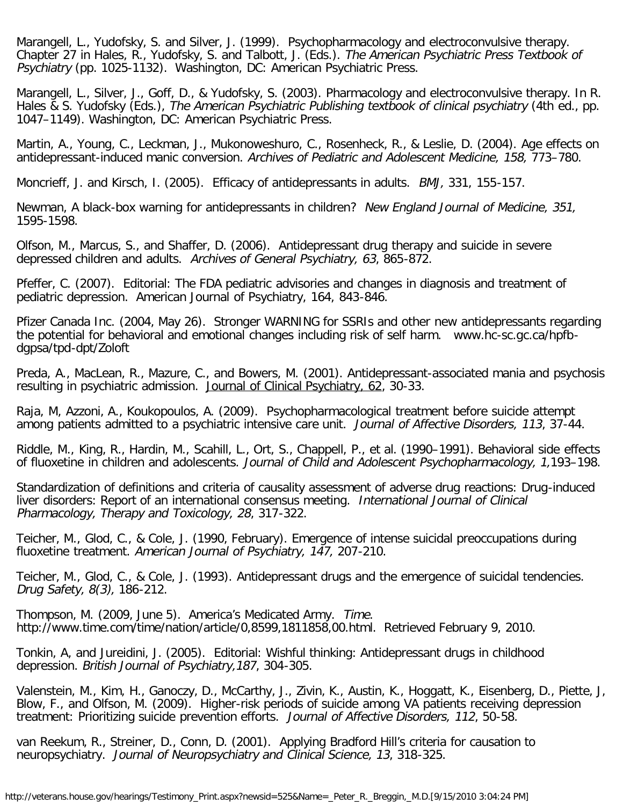Marangell, L., Yudofsky, S. and Silver, J. (1999). Psychopharmacology and electroconvulsive therapy. Chapter 27 in Hales, R., Yudofsky, S. and Talbott, J. (Eds.). The American Psychiatric Press Textbook of Psychiatry (pp. 1025-1132). Washington, DC: American Psychiatric Press.

Marangell, L., Silver, J., Goff, D., & Yudofsky, S. (2003). Pharmacology and electroconvulsive therapy. In R. Hales & S. Yudofsky (Eds.), The American Psychiatric Publishing textbook of clinical psychiatry (4th ed., pp. 1047–1149). Washington, DC: American Psychiatric Press.

Martin, A., Young, C., Leckman, J., Mukonoweshuro, C., Rosenheck, R., & Leslie, D. (2004). Age effects on antidepressant-induced manic conversion. Archives of Pediatric and Adolescent Medicine, 158, 773–780.

Moncrieff, J. and Kirsch, I. (2005). Efficacy of antidepressants in adults. BMJ, 331, 155-157.

Newman, A black-box warning for antidepressants in children? New England Journal of Medicine, 351, 1595-1598.

Olfson, M., Marcus, S., and Shaffer, D. (2006). Antidepressant drug therapy and suicide in severe depressed children and adults. Archives of General Psychiatry, 63, 865-872.

Pfeffer, C. (2007). Editorial: The FDA pediatric advisories and changes in diagnosis and treatment of pediatric depression. American Journal of Psychiatry, 164, 843-846.

Pfizer Canada Inc. (2004, May 26). Stronger WARNING for SSRIs and other new antidepressants regarding the potential for behavioral and emotional changes including risk of self harm. www.hc-sc.gc.ca/hpfbdgpsa/tpd-dpt/Zoloft

Preda, A., MacLean, R., Mazure, C., and Bowers, M. (2001). Antidepressant-associated mania and psychosis resulting in psychiatric admission. Journal of Clinical Psychiatry, 62, 30-33.

Raja, M, Azzoni, A., Koukopoulos, A. (2009). Psychopharmacological treatment before suicide attempt among patients admitted to a psychiatric intensive care unit. Journal of Affective Disorders, 113, 37-44.

Riddle, M., King, R., Hardin, M., Scahill, L., Ort, S., Chappell, P., et al. (1990–1991). Behavioral side effects of fluoxetine in children and adolescents. Journal of Child and Adolescent Psychopharmacology, 1,193–198.

Standardization of definitions and criteria of causality assessment of adverse drug reactions: Drug-induced liver disorders: Report of an international consensus meeting. International Journal of Clinical Pharmacology, Therapy and Toxicology, 28, 317-322.

Teicher, M., Glod, C., & Cole, J. (1990, February). Emergence of intense suicidal preoccupations during fluoxetine treatment. American Journal of Psychiatry, 147, 207-210.

Teicher, M., Glod, C., & Cole, J. (1993). Antidepressant drugs and the emergence of suicidal tendencies. Drug Safety, 8(3), 186-212.

Thompson, M. (2009, June 5). America's Medicated Army. Time. http://www.time.com/time/nation/article/0,8599,1811858,00.html. Retrieved February 9, 2010.

Tonkin, A, and Jureidini, J. (2005). Editorial: Wishful thinking: Antidepressant drugs in childhood depression. British Journal of Psychiatry,187, 304-305.

Valenstein, M., Kim, H., Ganoczy, D., McCarthy, J., Zivin, K., Austin, K., Hoggatt, K., Eisenberg, D., Piette, J, Blow, F., and Olfson, M. (2009). Higher-risk periods of suicide among VA patients receiving depression treatment: Prioritizing suicide prevention efforts. Journal of Affective Disorders, 112, 50-58.

van Reekum, R., Streiner, D., Conn, D. (2001). Applying Bradford Hill's criteria for causation to neuropsychiatry. Journal of Neuropsychiatry and Clinical Science, 13, 318-325.